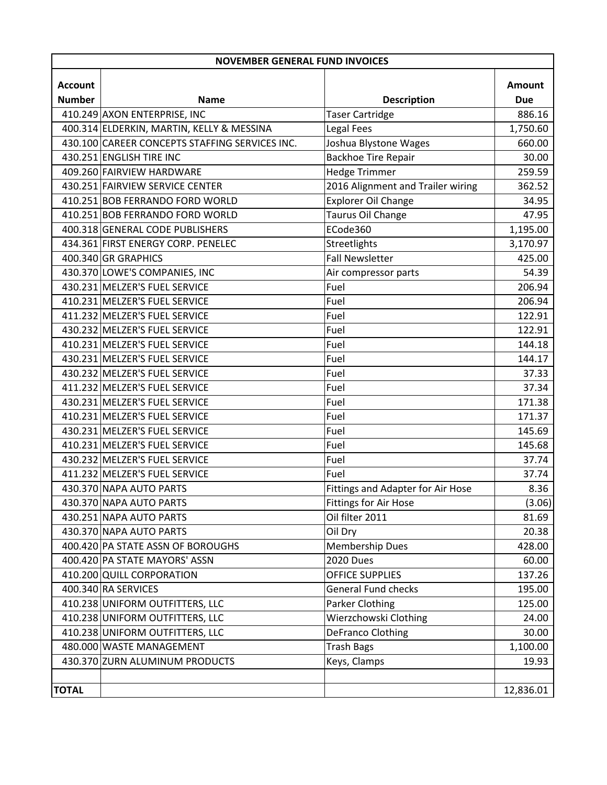| <b>NOVEMBER GENERAL FUND INVOICES</b> |                                                |                                   |            |  |  |
|---------------------------------------|------------------------------------------------|-----------------------------------|------------|--|--|
| <b>Account</b>                        |                                                |                                   | Amount     |  |  |
| <b>Number</b>                         | <b>Name</b>                                    | <b>Description</b>                | <b>Due</b> |  |  |
|                                       | 410.249 AXON ENTERPRISE, INC                   | <b>Taser Cartridge</b>            | 886.16     |  |  |
|                                       | 400.314 ELDERKIN, MARTIN, KELLY & MESSINA      | Legal Fees                        | 1,750.60   |  |  |
|                                       | 430.100 CAREER CONCEPTS STAFFING SERVICES INC. | Joshua Blystone Wages             | 660.00     |  |  |
|                                       | 430.251 ENGLISH TIRE INC                       | <b>Backhoe Tire Repair</b>        | 30.00      |  |  |
|                                       | 409.260 FAIRVIEW HARDWARE                      | <b>Hedge Trimmer</b>              | 259.59     |  |  |
|                                       | 430.251 FAIRVIEW SERVICE CENTER                | 2016 Alignment and Trailer wiring | 362.52     |  |  |
|                                       | 410.251 BOB FERRANDO FORD WORLD                | <b>Explorer Oil Change</b>        | 34.95      |  |  |
|                                       | 410.251 BOB FERRANDO FORD WORLD                | Taurus Oil Change                 | 47.95      |  |  |
|                                       | 400.318 GENERAL CODE PUBLISHERS                | ECode360                          | 1,195.00   |  |  |
|                                       | 434.361 FIRST ENERGY CORP. PENELEC             | Streetlights                      | 3,170.97   |  |  |
|                                       | 400.340 GR GRAPHICS                            | <b>Fall Newsletter</b>            | 425.00     |  |  |
|                                       | 430.370 LOWE'S COMPANIES, INC                  | Air compressor parts              | 54.39      |  |  |
|                                       | 430.231 MELZER'S FUEL SERVICE                  | Fuel                              | 206.94     |  |  |
|                                       | 410.231 MELZER'S FUEL SERVICE                  | Fuel                              | 206.94     |  |  |
|                                       | 411.232 MELZER'S FUEL SERVICE                  | Fuel                              | 122.91     |  |  |
|                                       | 430.232 MELZER'S FUEL SERVICE                  | Fuel                              | 122.91     |  |  |
|                                       | 410.231 MELZER'S FUEL SERVICE                  | Fuel                              | 144.18     |  |  |
|                                       | 430.231 MELZER'S FUEL SERVICE                  | Fuel                              | 144.17     |  |  |
|                                       | 430.232 MELZER'S FUEL SERVICE                  | Fuel                              | 37.33      |  |  |
|                                       | 411.232 MELZER'S FUEL SERVICE                  | Fuel                              | 37.34      |  |  |
|                                       | 430.231 MELZER'S FUEL SERVICE                  | Fuel                              | 171.38     |  |  |
|                                       | 410.231 MELZER'S FUEL SERVICE                  | Fuel                              | 171.37     |  |  |
|                                       | 430.231 MELZER'S FUEL SERVICE                  | Fuel                              | 145.69     |  |  |
|                                       | 410.231 MELZER'S FUEL SERVICE                  | Fuel                              | 145.68     |  |  |
|                                       | 430.232 MELZER'S FUEL SERVICE                  | Fuel                              | 37.74      |  |  |
|                                       | 411.232 MELZER'S FUEL SERVICE                  | Fuel                              | 37.74      |  |  |
|                                       | 430.370 NAPA AUTO PARTS                        | Fittings and Adapter for Air Hose | 8.36       |  |  |
|                                       | 430.370 NAPA AUTO PARTS                        | Fittings for Air Hose             | (3.06)     |  |  |
|                                       | 430.251 NAPA AUTO PARTS                        | Oil filter 2011                   | 81.69      |  |  |
|                                       | 430.370 NAPA AUTO PARTS                        | Oil Dry                           | 20.38      |  |  |
|                                       | 400.420 PA STATE ASSN OF BOROUGHS              | <b>Membership Dues</b>            | 428.00     |  |  |
|                                       | 400.420 PA STATE MAYORS' ASSN                  | <b>2020 Dues</b>                  | 60.00      |  |  |
|                                       | 410.200 QUILL CORPORATION                      | <b>OFFICE SUPPLIES</b>            | 137.26     |  |  |
|                                       | 400.340 RA SERVICES                            | <b>General Fund checks</b>        | 195.00     |  |  |
|                                       | 410.238 UNIFORM OUTFITTERS, LLC                | Parker Clothing                   | 125.00     |  |  |
|                                       | 410.238 UNIFORM OUTFITTERS, LLC                | Wierzchowski Clothing             | 24.00      |  |  |
|                                       | 410.238 UNIFORM OUTFITTERS, LLC                | DeFranco Clothing                 | 30.00      |  |  |
|                                       | 480.000 WASTE MANAGEMENT                       | <b>Trash Bags</b>                 | 1,100.00   |  |  |
|                                       | 430.370 ZURN ALUMINUM PRODUCTS                 | Keys, Clamps                      | 19.93      |  |  |
|                                       |                                                |                                   |            |  |  |
| <b>TOTAL</b>                          |                                                |                                   | 12,836.01  |  |  |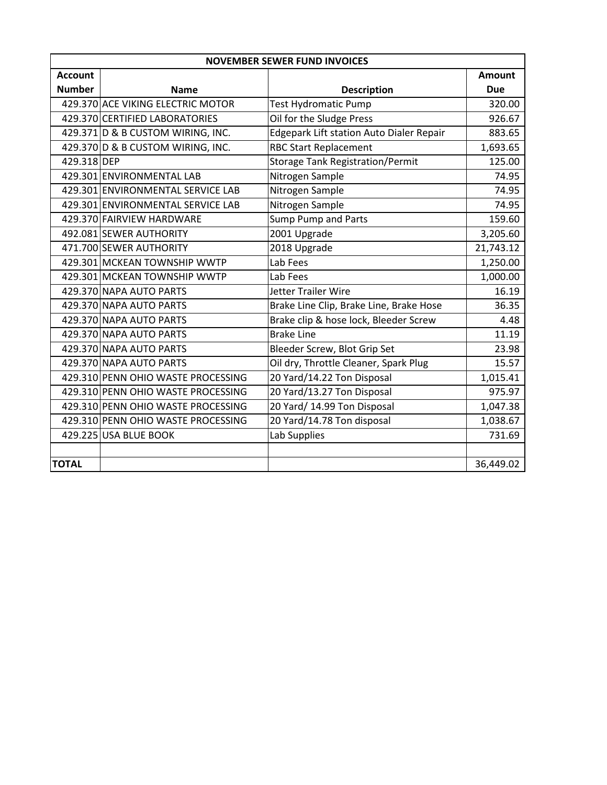| <b>NOVEMBER SEWER FUND INVOICES</b> |                                    |                                          |               |  |  |  |
|-------------------------------------|------------------------------------|------------------------------------------|---------------|--|--|--|
| <b>Account</b>                      |                                    |                                          | <b>Amount</b> |  |  |  |
| <b>Number</b>                       | <b>Name</b>                        | <b>Description</b>                       | <b>Due</b>    |  |  |  |
|                                     | 429.370 ACE VIKING ELECTRIC MOTOR  | <b>Test Hydromatic Pump</b>              | 320.00        |  |  |  |
|                                     | 429.370 CERTIFIED LABORATORIES     | Oil for the Sludge Press                 | 926.67        |  |  |  |
|                                     | 429.371 D & B CUSTOM WIRING, INC.  | Edgepark Lift station Auto Dialer Repair | 883.65        |  |  |  |
|                                     | 429.370 D & B CUSTOM WIRING, INC.  | <b>RBC Start Replacement</b>             | 1,693.65      |  |  |  |
| 429.318 DEP                         |                                    | <b>Storage Tank Registration/Permit</b>  | 125.00        |  |  |  |
|                                     | 429.301 ENVIRONMENTAL LAB          | Nitrogen Sample                          | 74.95         |  |  |  |
|                                     | 429.301 ENVIRONMENTAL SERVICE LAB  | Nitrogen Sample                          | 74.95         |  |  |  |
|                                     | 429.301 ENVIRONMENTAL SERVICE LAB  | Nitrogen Sample                          | 74.95         |  |  |  |
|                                     | 429.370 FAIRVIEW HARDWARE          | Sump Pump and Parts                      | 159.60        |  |  |  |
|                                     | 492.081 SEWER AUTHORITY            | 2001 Upgrade                             | 3,205.60      |  |  |  |
|                                     | 471.700 SEWER AUTHORITY            | 2018 Upgrade                             | 21,743.12     |  |  |  |
|                                     | 429.301 MCKEAN TOWNSHIP WWTP       | Lab Fees                                 | 1,250.00      |  |  |  |
|                                     | 429.301 MCKEAN TOWNSHIP WWTP       | Lab Fees                                 | 1,000.00      |  |  |  |
|                                     | 429.370 NAPA AUTO PARTS            | Jetter Trailer Wire                      | 16.19         |  |  |  |
|                                     | 429.370 NAPA AUTO PARTS            | Brake Line Clip, Brake Line, Brake Hose  | 36.35         |  |  |  |
|                                     | 429.370 NAPA AUTO PARTS            | Brake clip & hose lock, Bleeder Screw    | 4.48          |  |  |  |
|                                     | 429.370 NAPA AUTO PARTS            | <b>Brake Line</b>                        | 11.19         |  |  |  |
|                                     | 429.370 NAPA AUTO PARTS            | Bleeder Screw, Blot Grip Set             | 23.98         |  |  |  |
|                                     | 429.370 NAPA AUTO PARTS            | Oil dry, Throttle Cleaner, Spark Plug    | 15.57         |  |  |  |
|                                     | 429.310 PENN OHIO WASTE PROCESSING | 20 Yard/14.22 Ton Disposal               | 1,015.41      |  |  |  |
|                                     | 429.310 PENN OHIO WASTE PROCESSING | 20 Yard/13.27 Ton Disposal               | 975.97        |  |  |  |
|                                     | 429.310 PENN OHIO WASTE PROCESSING | 20 Yard/ 14.99 Ton Disposal              | 1,047.38      |  |  |  |
|                                     | 429.310 PENN OHIO WASTE PROCESSING | 20 Yard/14.78 Ton disposal               | 1,038.67      |  |  |  |
|                                     | 429.225 USA BLUE BOOK              | Lab Supplies                             | 731.69        |  |  |  |
|                                     |                                    |                                          |               |  |  |  |
| <b>TOTAL</b>                        |                                    |                                          | 36,449.02     |  |  |  |